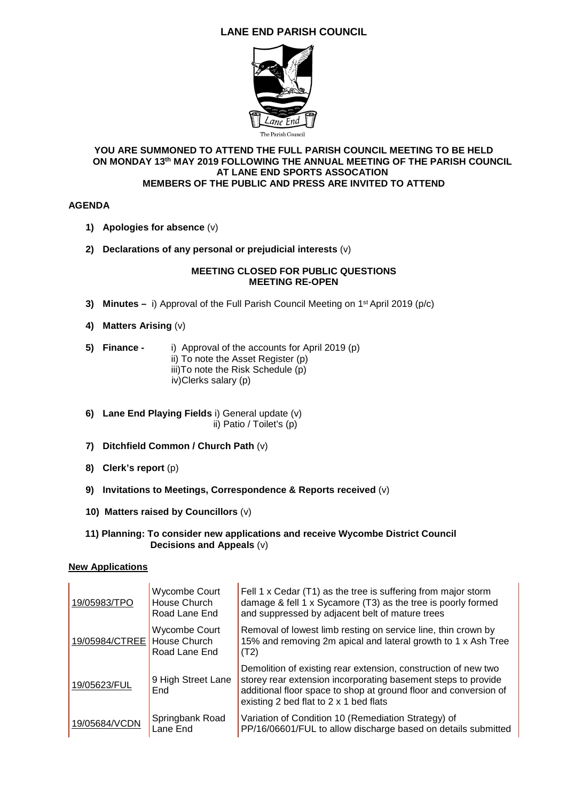## **LANE END PARISH COUNCIL**



#### **YOU ARE SUMMONED TO ATTEND THE FULL PARISH COUNCIL MEETING TO BE HELD ON MONDAY 13th MAY 2019 FOLLOWING THE ANNUAL MEETING OF THE PARISH COUNCIL AT LANE END SPORTS ASSOCATION MEMBERS OF THE PUBLIC AND PRESS ARE INVITED TO ATTEND**

### **AGENDA**

- **1) Apologies for absence** (v)
- **2) Declarations of any personal or prejudicial interests** (v)

#### **MEETING CLOSED FOR PUBLIC QUESTIONS MEETING RE-OPEN**

- **3) Minutes** i) Approval of the Full Parish Council Meeting on 1st April 2019 (p/c)
- **4) Matters Arising** (v)
- **5) Finance** i) Approval of the accounts for April 2019 (p) ii) To note the Asset Register (p) iii)To note the Risk Schedule (p) iv)Clerks salary (p)
- **6) Lane End Playing Fields** i) General update (v) ii) Patio / Toilet's (p)
- **7) Ditchfield Common / Church Path** (v)
- **8) Clerk's report** (p)
- **9) Invitations to Meetings, Correspondence & Reports received** (v)
- **10) Matters raised by Councillors** (v)
- **11) Planning: To consider new applications and receive Wycombe District Council Decisions and Appeals** (v)

#### **New Applications**

| 19/05983/TPO                  | <b>Wycombe Court</b><br>House Church<br>Road Lane End | Fell 1 x Cedar (T1) as the tree is suffering from major storm<br>damage & fell 1 x Sycamore (T3) as the tree is poorly formed<br>and suppressed by adjacent belt of mature trees                                                              |
|-------------------------------|-------------------------------------------------------|-----------------------------------------------------------------------------------------------------------------------------------------------------------------------------------------------------------------------------------------------|
| 19/05984/CTREE   House Church | Wycombe Court<br>Road Lane End                        | Removal of lowest limb resting on service line, thin crown by<br>15% and removing 2m apical and lateral growth to 1 x Ash Tree<br>(T2)                                                                                                        |
| 19/05623/FUL                  | 9 High Street Lane<br>End                             | Demolition of existing rear extension, construction of new two<br>storey rear extension incorporating basement steps to provide<br>additional floor space to shop at ground floor and conversion of<br>existing 2 bed flat to 2 x 1 bed flats |
| 19/05684/VCDN                 | Springbank Road<br>Lane End                           | Variation of Condition 10 (Remediation Strategy) of<br>PP/16/06601/FUL to allow discharge based on details submitted                                                                                                                          |